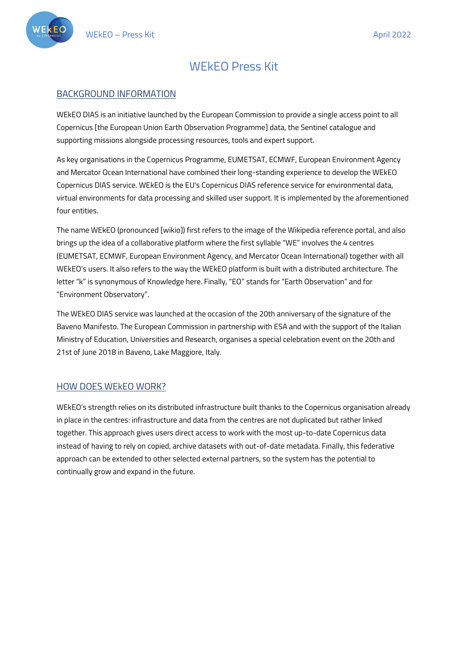

# WEkEO Press Kit

### BACKGROUND INFORMATION

WEkEO DIAS is an initiative launched by the European Commission to provide a single access point to all Copernicus [the European Union Earth Observation Programme] data, the Sentinel catalogue and supporting missions alongside processing resources, tools and expert support.

As key organisations in the Copernicus Programme, EUMETSAT, ECMWF, European Environment Agency and Mercator Ocean International have combined their long-standing experience to develop the WEkEO Copernicus DIAS service. WEkEO is the EU's Copernicus DIAS reference service for environmental data, virtual environments for data processing and skilled user support. It is implemented by the aforementioned four entities.

The name WEkEO (pronounced [wikio]) first refers to the image of the Wikipedia reference portal, and also brings up the idea of a collaborative platform where the first syllable "WE" involves the 4 centres (EUMETSAT, ECMWF, European Environment Agency, and Mercator Ocean International) together with all WEkEO's users. It also refers to the way the WEkEO platform is built with a distributed architecture. The letter "k" is synonymous of Knowledge here. Finally, "EO" stands for "Earth Observation" and for "Environment Observatory".

The WEkEO DIAS service was launched at the occasion of the 20th anniversary of the signature of the Baveno Manifesto. The European Commission in partnership with ESA and with the support of the Italian Ministry of Education, Universities and Research, organises a special celebration event on the 20th and 21st of June 2018 in Baveno, Lake Maggiore, Italy.

#### HOW DOES WEkEO WORK?

WEkEO's strength relies on its distributed infrastructure built thanks to the Copernicus organisation already in place in the centres: infrastructure and data from the centres are not duplicated but rather linked together. This approach gives users direct access to work with the most up-to-date Copernicus data instead of having to rely on copied, archive datasets with out-of-date metadata. Finally, this federative approach can be extended to other selected external partners, so the system has the potential to continually grow and expand in the future.